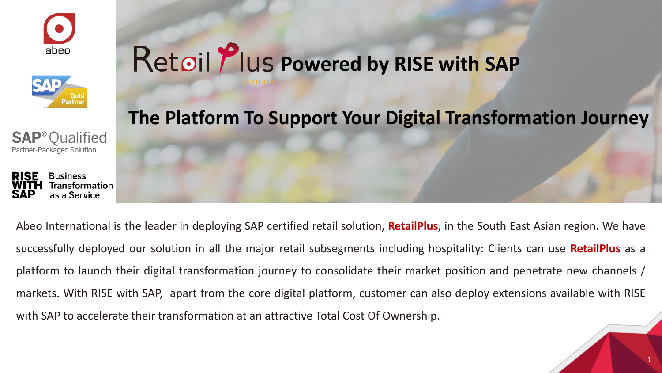







# Retoil *Plus Powered by RISE with SAP*



1

Abeo International is the leader in deploying SAP certified retail solution, **RetailPlus**, in the South East Asian region. We have successfully deployed our solution in all the major retail subsegments including hospitality: Clients can use **RetailPlus** as a platform to launch their digital transformation journey to consolidate their market position and penetrate new channels / markets. With RISE with SAP, apart from the core digital platform, customer can also deploy extensions available with RISE with SAP to accelerate their transformation at an attractive Total Cost Of Ownership.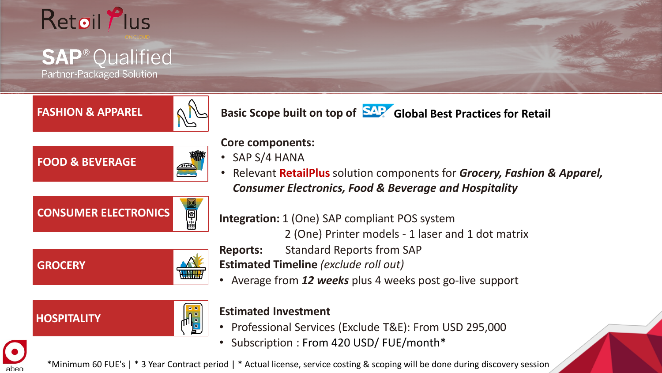

## **SAP<sup>®</sup>Qualified**

Partner-Packaged Solution

**FASHION & APPAREL**



**Basic Scope built on top of Global Best Practices for Retail**





**Core components:**

- SAP S/4 HANA
- Relevant **RetailPlus** solution components for *Grocery, Fashion & Apparel, Consumer Electronics, Food & Beverage and Hospitality*

**CONSUMER ELECTRONICS**



**Integration:** 1 (One) SAP compliant POS system

2 (One) Printer models - 1 laser and 1 dot matrix

**Reports:** Standard Reports from SAP

**Estimated Timeline** *(exclude roll out)*

• Average from *12 weeks* plus 4 weeks post go-live support

### **HOSPITALITY**

abeo

**GROCERY**



### **Estimated Investment**

- Professional Services (Exclude T&E): From USD 295,000
- Subscription : From 420 USD/ FUE/month\*

\*Minimum 60 FUE's | \* 3 Year Contract period | \* Actual license, service costing & scoping will be done during discovery session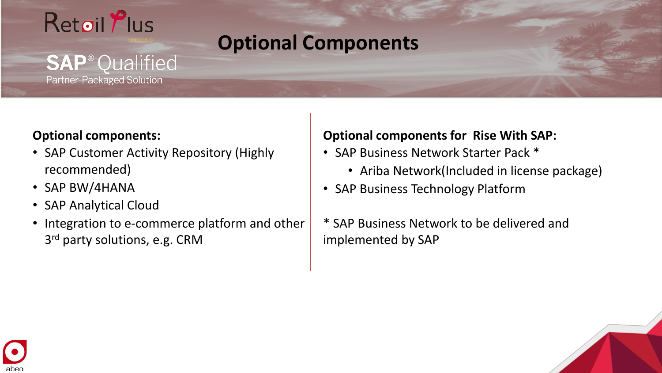

**SAP<sup>®</sup>Qualified** 

**Partner-Packaged Solution** 

## **Optional Components**

### **Optional components:**

- SAP Customer Activity Repository (Highly recommended)
- SAP BW/4HANA
- SAP Analytical Cloud
- Integration to e-commerce platform and other 3<sup>rd</sup> party solutions, e.g. CRM

### **Optional components for Rise With SAP:**

- SAP Business Network Starter Pack \*
	- Ariba Network(Included in license package)
- SAP Business Technology Platform
- \* SAP Business Network to be delivered and implemented by SAP